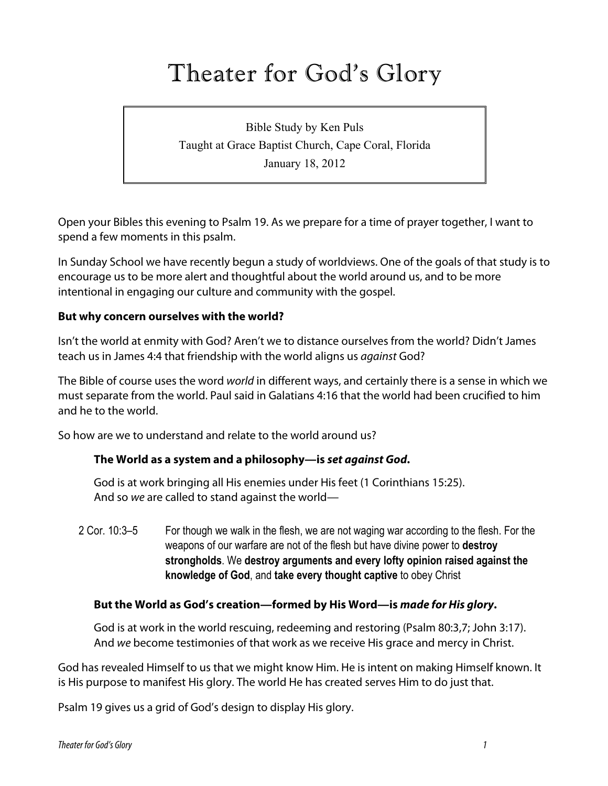# Theater for God's Glory

Bible Study by Ken Puls Taught at Grace Baptist Church, Cape Coral, Florida January 18, 2012

Open your Bibles this evening to Psalm 19. As we prepare for a time of prayer together, I want to spend a few moments in this psalm.

In Sunday School we have recently begun a study of worldviews. One of the goals of that study is to encourage us to be more alert and thoughtful about the world around us, and to be more intentional in engaging our culture and community with the gospel.

#### **But why concern ourselves with the world?**

Isn't the world at enmity with God? Aren't we to distance ourselves from the world? Didn't James teach us in James 4:4 that friendship with the world aligns us *against* God?

The Bible of course uses the word *world* in different ways, and certainly there is a sense in which we must separate from the world. Paul said in Galatians 4:16 that the world had been crucified to him and he to the world.

So how are we to understand and relate to the world around us?

#### **The World as a system and a philosophy—is** *set against God***.**

God is at work bringing all His enemies under His feet (1 Corinthians 15:25). And so *we* are called to stand against the world—

2 Cor. 10:3–5 For though we walk in the flesh, we are not waging war according to the flesh. For the weapons of our warfare are not of the flesh but have divine power to **destroy strongholds**. We **destroy arguments and every lofty opinion raised against the knowledge of God**, and **take every thought captive** to obey Christ

#### **But the World as God's creation—formed by His Word—is** *made for His glory***.**

God is at work in the world rescuing, redeeming and restoring (Psalm 80:3,7; John 3:17). And *we* become testimonies of that work as we receive His grace and mercy in Christ.

God has revealed Himself to us that we might know Him. He is intent on making Himself known. It is His purpose to manifest His glory. The world He has created serves Him to do just that.

Psalm 19 gives us a grid of God's design to display His glory.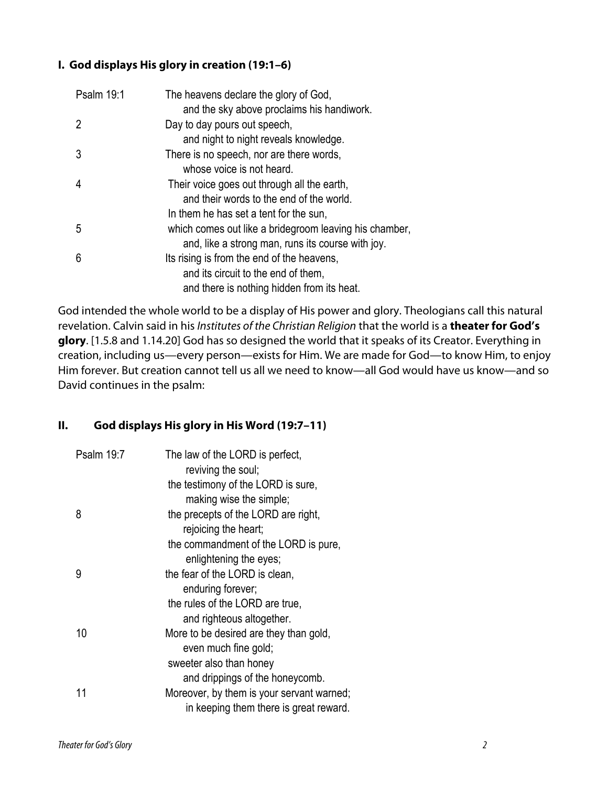## **I. God displays His glory in creation (19:1–6)**

| Psalm 19:1 | The heavens declare the glory of God,<br>and the sky above proclaims his handiwork. |
|------------|-------------------------------------------------------------------------------------|
| 2          | Day to day pours out speech,                                                        |
|            | and night to night reveals knowledge.                                               |
| 3          | There is no speech, nor are there words,                                            |
|            | whose voice is not heard.                                                           |
| 4          | Their voice goes out through all the earth,                                         |
|            | and their words to the end of the world.                                            |
|            | In them he has set a tent for the sun,                                              |
| 5          | which comes out like a bridegroom leaving his chamber,                              |
|            | and, like a strong man, runs its course with joy.                                   |
| 6          | Its rising is from the end of the heavens,                                          |
|            | and its circuit to the end of them.                                                 |
|            | and there is nothing hidden from its heat.                                          |

God intended the whole world to be a display of His power and glory. Theologians call this natural revelation. Calvin said in his *Institutes of the Christian Religion* that the world is a **theater for God's glory**. [1.5.8 and 1.14.20] God has so designed the world that it speaks of its Creator. Everything in creation, including us—every person—exists for Him. We are made for God—to know Him, to enjoy Him forever. But creation cannot tell us all we need to know—all God would have us know—and so David continues in the psalm:

## **II. God displays His glory in His Word (19:7–11)**

| Psalm 19:7 | The law of the LORD is perfect,<br>reviving the soul;          |
|------------|----------------------------------------------------------------|
|            | the testimony of the LORD is sure,<br>making wise the simple;  |
| 8          | the precepts of the LORD are right,<br>rejoicing the heart;    |
|            | the commandment of the LORD is pure,<br>enlightening the eyes; |
| 9          | the fear of the LORD is clean,<br>enduring forever;            |
|            | the rules of the LORD are true,<br>and righteous altogether.   |
| 10         | More to be desired are they than gold,<br>even much fine gold; |
|            | sweeter also than honey                                        |
|            | and drippings of the honeycomb.                                |
| 11         | Moreover, by them is your servant warned;                      |
|            | in keeping them there is great reward.                         |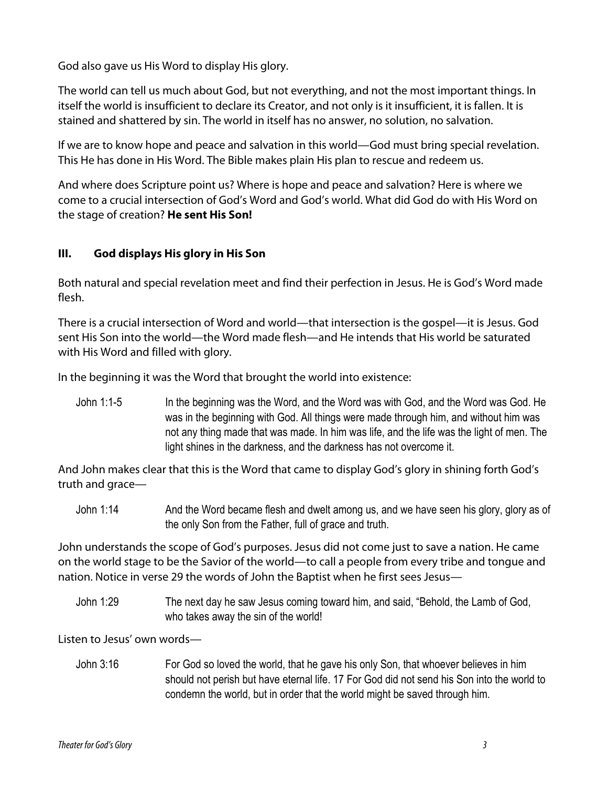God also gave us His Word to display His glory.

The world can tell us much about God, but not everything, and not the most important things. In itself the world is insufficient to declare its Creator, and not only is it insufficient, it is fallen. It is stained and shattered by sin. The world in itself has no answer, no solution, no salvation.

If we are to know hope and peace and salvation in this world—God must bring special revelation. This He has done in His Word. The Bible makes plain His plan to rescue and redeem us.

And where does Scripture point us? Where is hope and peace and salvation? Here is where we come to a crucial intersection of God's Word and God's world. What did God do with His Word on the stage of creation? **He sent His Son!**

## **III. God displays His glory in His Son**

Both natural and special revelation meet and find their perfection in Jesus. He is God's Word made flesh.

There is a crucial intersection of Word and world—that intersection is the gospel—it is Jesus. God sent His Son into the world—the Word made flesh—and He intends that His world be saturated with His Word and filled with glory.

In the beginning it was the Word that brought the world into existence:

John 1:1-5 In the beginning was the Word, and the Word was with God, and the Word was God. He was in the beginning with God. All things were made through him, and without him was not any thing made that was made. In him was life, and the life was the light of men. The light shines in the darkness, and the darkness has not overcome it.

And John makes clear that this is the Word that came to display God's glory in shining forth God's truth and grace—

John 1:14 And the Word became flesh and dwelt among us, and we have seen his glory, glory as of the only Son from the Father, full of grace and truth.

John understands the scope of God's purposes. Jesus did not come just to save a nation. He came on the world stage to be the Savior of the world—to call a people from every tribe and tongue and nation. Notice in verse 29 the words of John the Baptist when he first sees Jesus—

John 1:29 The next day he saw Jesus coming toward him, and said, "Behold, the Lamb of God, who takes away the sin of the world!

Listen to Jesus' own words—

John 3:16 For God so loved the world, that he gave his only Son, that whoever believes in him should not perish but have eternal life. 17 For God did not send his Son into the world to condemn the world, but in order that the world might be saved through him.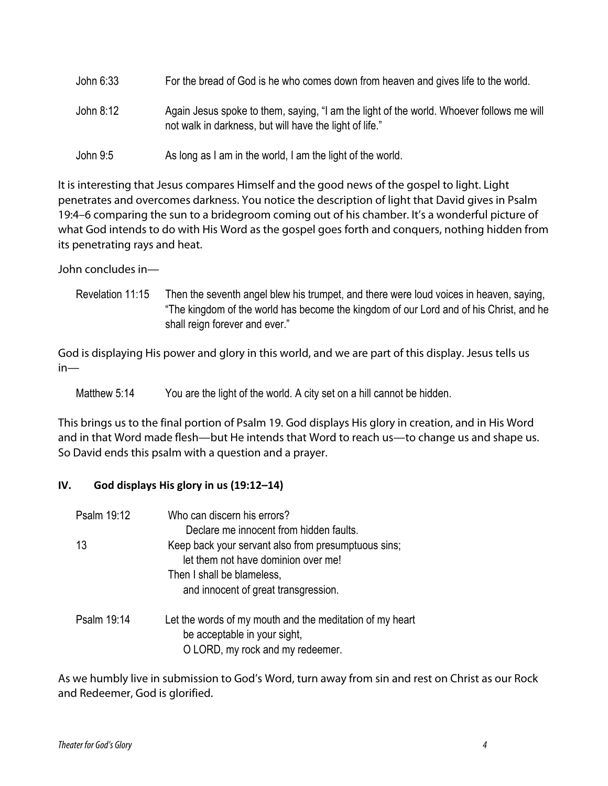| For the bread of God is he who comes down from heaven and gives life to the world.<br>John 6:33 |                                                                                                                                                     |
|-------------------------------------------------------------------------------------------------|-----------------------------------------------------------------------------------------------------------------------------------------------------|
| John 8:12                                                                                       | Again Jesus spoke to them, saying, "I am the light of the world. Whoever follows me will<br>not walk in darkness, but will have the light of life." |

John 9:5 As long as I am in the world, I am the light of the world.

It is interesting that Jesus compares Himself and the good news of the gospel to light. Light penetrates and overcomes darkness. You notice the description of light that David gives in Psalm 19:4–6 comparing the sun to a bridegroom coming out of his chamber. It's a wonderful picture of what God intends to do with His Word as the gospel goes forth and conquers, nothing hidden from its penetrating rays and heat.

John concludes in—

Revelation 11:15 Then the seventh angel blew his trumpet, and there were loud voices in heaven, saying, "The kingdom of the world has become the kingdom of our Lord and of his Christ, and he shall reign forever and ever."

God is displaying His power and glory in this world, and we are part of this display. Jesus tells us in—

Matthew 5:14 You are the light of the world. A city set on a hill cannot be hidden.

This brings us to the final portion of Psalm 19. God displays His glory in creation, and in His Word and in that Word made flesh—but He intends that Word to reach us—to change us and shape us. So David ends this psalm with a question and a prayer.

## **IV.** God displays His glory in us (19:12–14)

| Psalm 19:12 | Who can discern his errors?                                                                |
|-------------|--------------------------------------------------------------------------------------------|
|             | Declare me innocent from hidden faults.                                                    |
| 13          | Keep back your servant also from presumptuous sins;<br>let them not have dominion over me! |
|             | Then I shall be blameless,                                                                 |
|             | and innocent of great transgression.                                                       |
| Psalm 19:14 | Let the words of my mouth and the meditation of my heart<br>be acceptable in your sight,   |
|             | O LORD, my rock and my redeemer.                                                           |

As we humbly live in submission to God's Word, turn away from sin and rest on Christ as our Rock and Redeemer, God is glorified.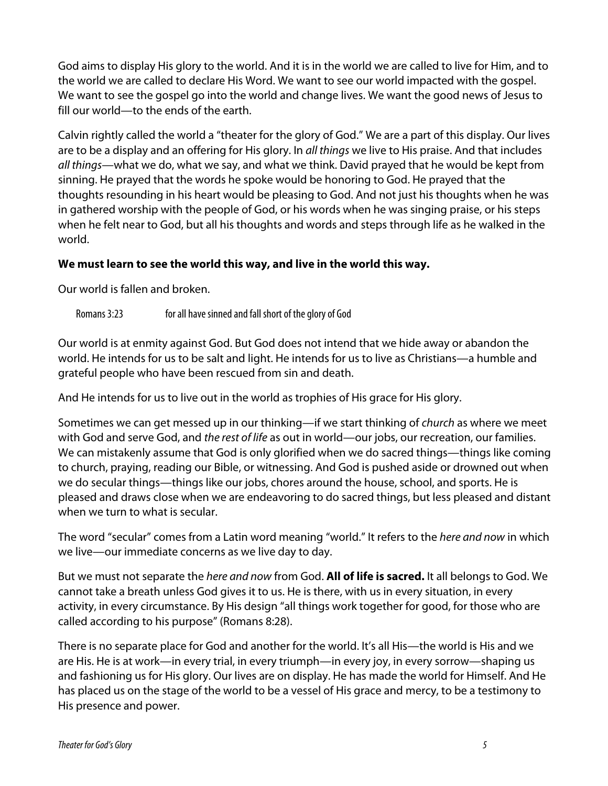God aims to display His glory to the world. And it is in the world we are called to live for Him, and to the world we are called to declare His Word. We want to see our world impacted with the gospel. We want to see the gospel go into the world and change lives. We want the good news of Jesus to fill our world—to the ends of the earth.

Calvin rightly called the world a "theater for the glory of God." We are a part of this display. Our lives are to be a display and an offering for His glory. In *all things* we live to His praise. And that includes *all things*—what we do, what we say, and what we think. David prayed that he would be kept from sinning. He prayed that the words he spoke would be honoring to God. He prayed that the thoughts resounding in his heart would be pleasing to God. And not just his thoughts when he was in gathered worship with the people of God, or his words when he was singing praise, or his steps when he felt near to God, but all his thoughts and words and steps through life as he walked in the world.

#### **We must learn to see the world this way, and live in the world this way.**

Our world is fallen and broken.

Romans 3:23 for all have sinned and fall short of the glory of God

Our world is at enmity against God. But God does not intend that we hide away or abandon the world. He intends for us to be salt and light. He intends for us to live as Christians—a humble and grateful people who have been rescued from sin and death.

And He intends for us to live out in the world as trophies of His grace for His glory.

Sometimes we can get messed up in our thinking—if we start thinking of *church* as where we meet with God and serve God, and *the rest of life* as out in world—our jobs, our recreation, our families. We can mistakenly assume that God is only glorified when we do sacred things—things like coming to church, praying, reading our Bible, or witnessing. And God is pushed aside or drowned out when we do secular things—things like our jobs, chores around the house, school, and sports. He is pleased and draws close when we are endeavoring to do sacred things, but less pleased and distant when we turn to what is secular.

The word "secular" comes from a Latin word meaning "world." It refers to the *here and now* in which we live—our immediate concerns as we live day to day.

But we must not separate the *here and now* from God. **All of life is sacred.** It all belongs to God. We cannot take a breath unless God gives it to us. He is there, with us in every situation, in every activity, in every circumstance. By His design "all things work together for good, for those who are called according to his purpose" (Romans 8:28).

There is no separate place for God and another for the world. It's all His—the world is His and we are His. He is at work—in every trial, in every triumph—in every joy, in every sorrow—shaping us and fashioning us for His glory. Our lives are on display. He has made the world for Himself. And He has placed us on the stage of the world to be a vessel of His grace and mercy, to be a testimony to His presence and power.